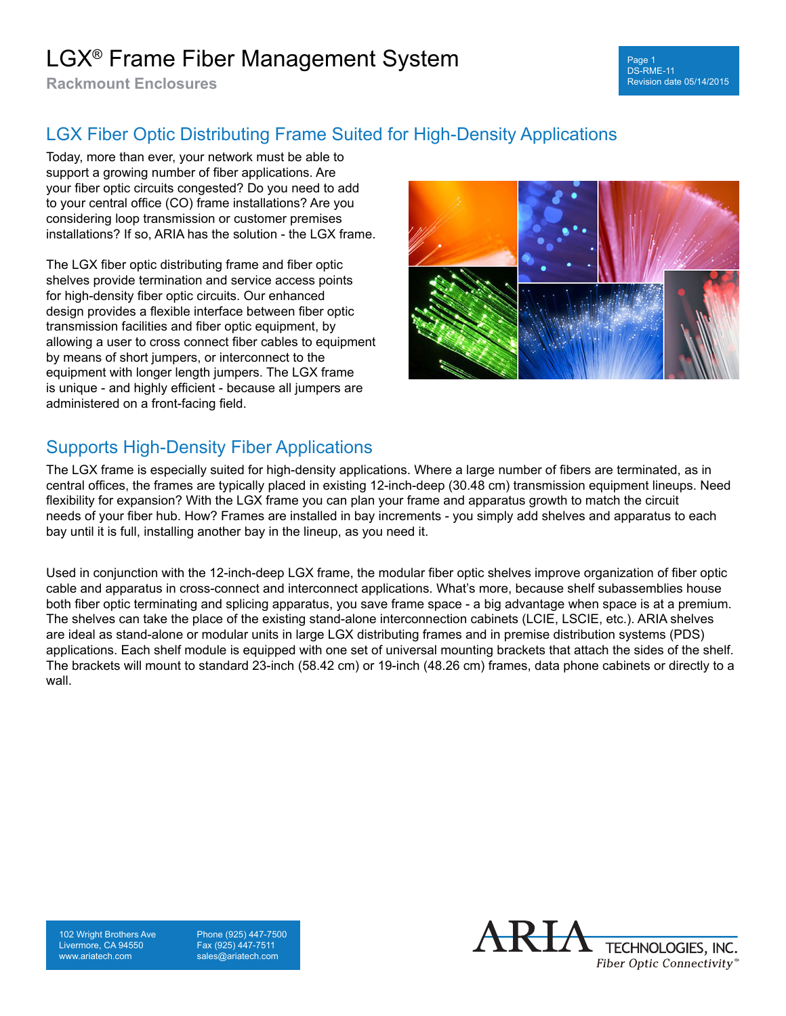**Rackmount Enclosures**

#### Page 1 DS-RME-11 Revision date 05/14/2015

### LGX Fiber Optic Distributing Frame Suited for High-Density Applications

Today, more than ever, your network must be able to support a growing number of fiber applications. Are your fiber optic circuits congested? Do you need to add to your central office (CO) frame installations? Are you considering loop transmission or customer premises installations? If so, ARIA has the solution - the LGX frame.

The LGX fiber optic distributing frame and fiber optic shelves provide termination and service access points for high-density fiber optic circuits. Our enhanced design provides a flexible interface between fiber optic transmission facilities and fiber optic equipment, by allowing a user to cross connect fiber cables to equipment by means of short jumpers, or interconnect to the equipment with longer length jumpers. The LGX frame is unique - and highly efficient - because all jumpers are administered on a front-facing field.



### Supports High-Density Fiber Applications

The LGX frame is especially suited for high-density applications. Where a large number of fibers are terminated, as in central offices, the frames are typically placed in existing 12-inch-deep (30.48 cm) transmission equipment lineups. Need flexibility for expansion? With the LGX frame you can plan your frame and apparatus growth to match the circuit needs of your fiber hub. How? Frames are installed in bay increments - you simply add shelves and apparatus to each bay until it is full, installing another bay in the lineup, as you need it.

Used in conjunction with the 12-inch-deep LGX frame, the modular fiber optic shelves improve organization of fiber optic cable and apparatus in cross-connect and interconnect applications. What's more, because shelf subassemblies house both fiber optic terminating and splicing apparatus, you save frame space - a big advantage when space is at a premium. The shelves can take the place of the existing stand-alone interconnection cabinets (LCIE, LSCIE, etc.). ARIA shelves are ideal as stand-alone or modular units in large LGX distributing frames and in premise distribution systems (PDS) applications. Each shelf module is equipped with one set of universal mounting brackets that attach the sides of the shelf. The brackets will mount to standard 23-inch (58.42 cm) or 19-inch (48.26 cm) frames, data phone cabinets or directly to a wall.

102 Wright Brothers Ave Livermore, CA 94550 www.ariatech.com

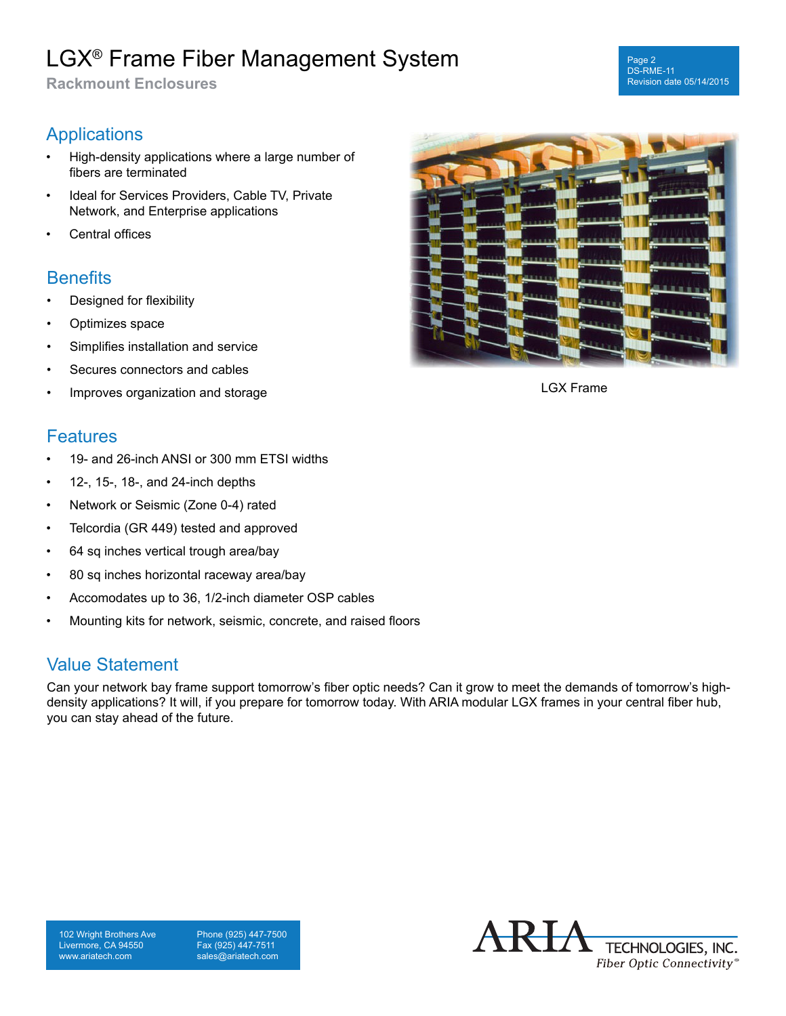**Rackmount Enclosures**

#### Page 2 DS-RME-11 Revision date 05/14/2015

#### **Applications**

- High-density applications where a large number of fibers are terminated
- Ideal for Services Providers, Cable TV, Private Network, and Enterprise applications
- Central offices

#### **Benefits**

- Designed for flexibility
- Optimizes space
- Simplifies installation and service
- Secures connectors and cables
- Improves organization and storage

#### Features

- 19- and 26-inch ANSI or 300 mm ETSI widths
- $\cdot$  12-, 15-, 18-, and 24-inch depths
- Network or Seismic (Zone 0-4) rated
- Telcordia (GR 449) tested and approved
- 64 sq inches vertical trough area/bay
- 80 sq inches horizontal raceway area/bay
- Accomodates up to 36, 1/2-inch diameter OSP cables
- Mounting kits for network, seismic, concrete, and raised floors

#### Value Statement

Can your network bay frame support tomorrow's fiber optic needs? Can it grow to meet the demands of tomorrow's highdensity applications? It will, if you prepare for tomorrow today. With ARIA modular LGX frames in your central fiber hub, you can stay ahead of the future.



LGX Frame

102 Wright Brothers Ave Livermore, CA 94550 www.ariatech.com

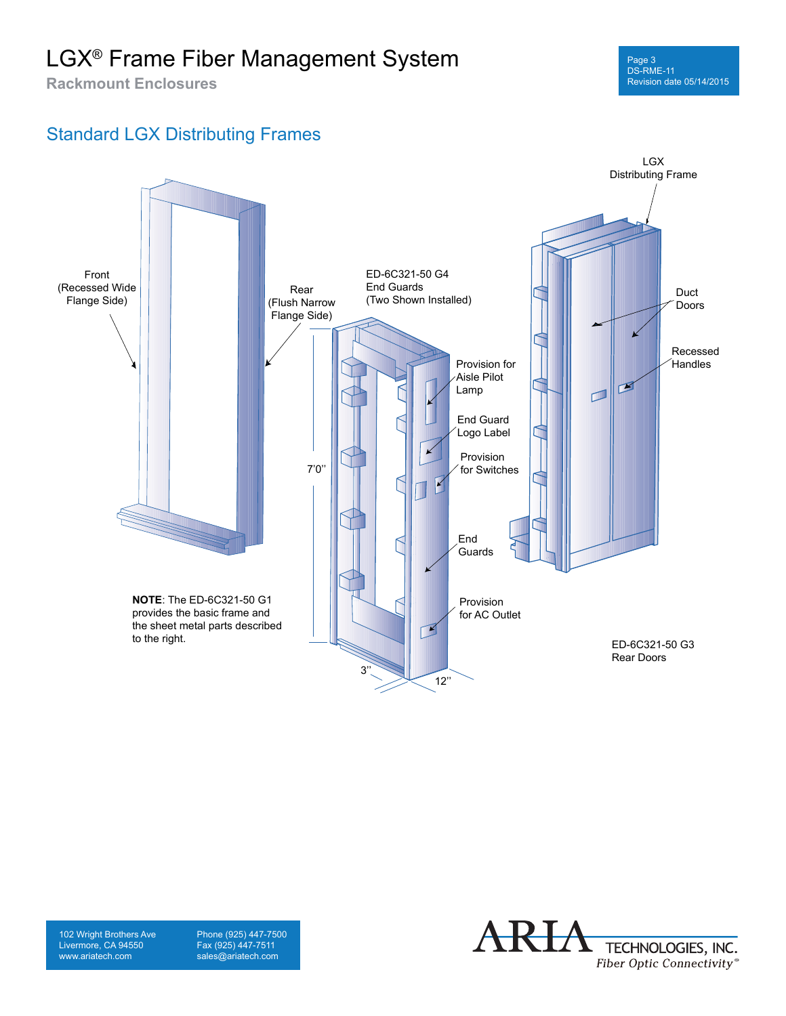**Rackmount Enclosures**

### Standard LGX Distributing Frames





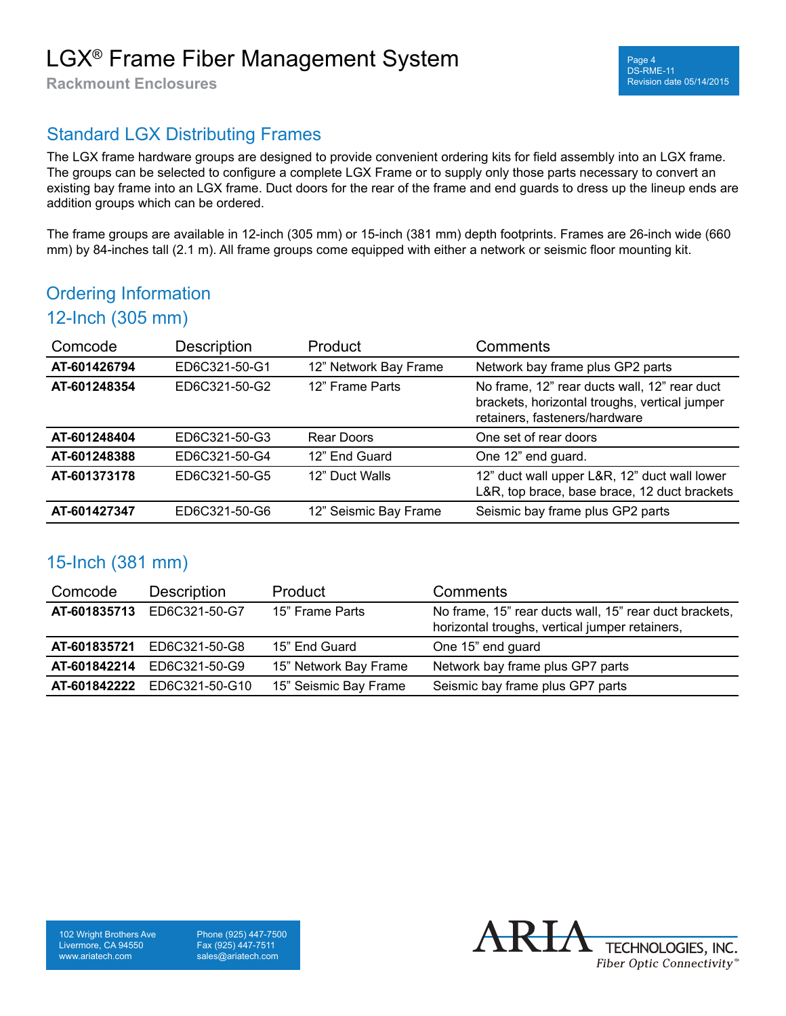**Rackmount Enclosures**

### Standard LGX Distributing Frames

The LGX frame hardware groups are designed to provide convenient ordering kits for field assembly into an LGX frame. The groups can be selected to configure a complete LGX Frame or to supply only those parts necessary to convert an existing bay frame into an LGX frame. Duct doors for the rear of the frame and end guards to dress up the lineup ends are addition groups which can be ordered.

The frame groups are available in 12-inch (305 mm) or 15-inch (381 mm) depth footprints. Frames are 26-inch wide (660 mm) by 84-inches tall (2.1 m). All frame groups come equipped with either a network or seismic floor mounting kit.

### Ordering Information

#### 12-Inch (305 mm)

| Comcode      | Description   | Product               | Comments                                                                                                                       |
|--------------|---------------|-----------------------|--------------------------------------------------------------------------------------------------------------------------------|
| AT-601426794 | ED6C321-50-G1 | 12" Network Bay Frame | Network bay frame plus GP2 parts                                                                                               |
| AT-601248354 | ED6C321-50-G2 | 12" Frame Parts       | No frame, 12" rear ducts wall, 12" rear duct<br>brackets, horizontal troughs, vertical jumper<br>retainers, fasteners/hardware |
| AT-601248404 | ED6C321-50-G3 | Rear Doors            | One set of rear doors                                                                                                          |
| AT-601248388 | ED6C321-50-G4 | 12" End Guard         | One 12" end guard.                                                                                                             |
| AT-601373178 | ED6C321-50-G5 | 12" Duct Walls        | 12" duct wall upper L&R, 12" duct wall lower<br>L&R, top brace, base brace, 12 duct brackets                                   |
| AT-601427347 | ED6C321-50-G6 | 12" Seismic Bay Frame | Seismic bay frame plus GP2 parts                                                                                               |

#### 15-Inch (381 mm)

| Comcode      | <b>Description</b>         | Product               | Comments                                                                                                 |
|--------------|----------------------------|-----------------------|----------------------------------------------------------------------------------------------------------|
| AT-601835713 | ED6C321-50-G7              | 15" Frame Parts       | No frame, 15" rear ducts wall, 15" rear duct brackets,<br>horizontal troughs, vertical jumper retainers, |
|              | AT-601835721 ED6C321-50-G8 | 15" End Guard         | One 15" end guard                                                                                        |
| AT-601842214 | ED6C321-50-G9              | 15" Network Bay Frame | Network bay frame plus GP7 parts                                                                         |
| AT-601842222 | ED6C321-50-G10             | 15" Seismic Bay Frame | Seismic bay frame plus GP7 parts                                                                         |

102 Wright Brothers Ave Livermore, CA 94550 www.ariatech.com

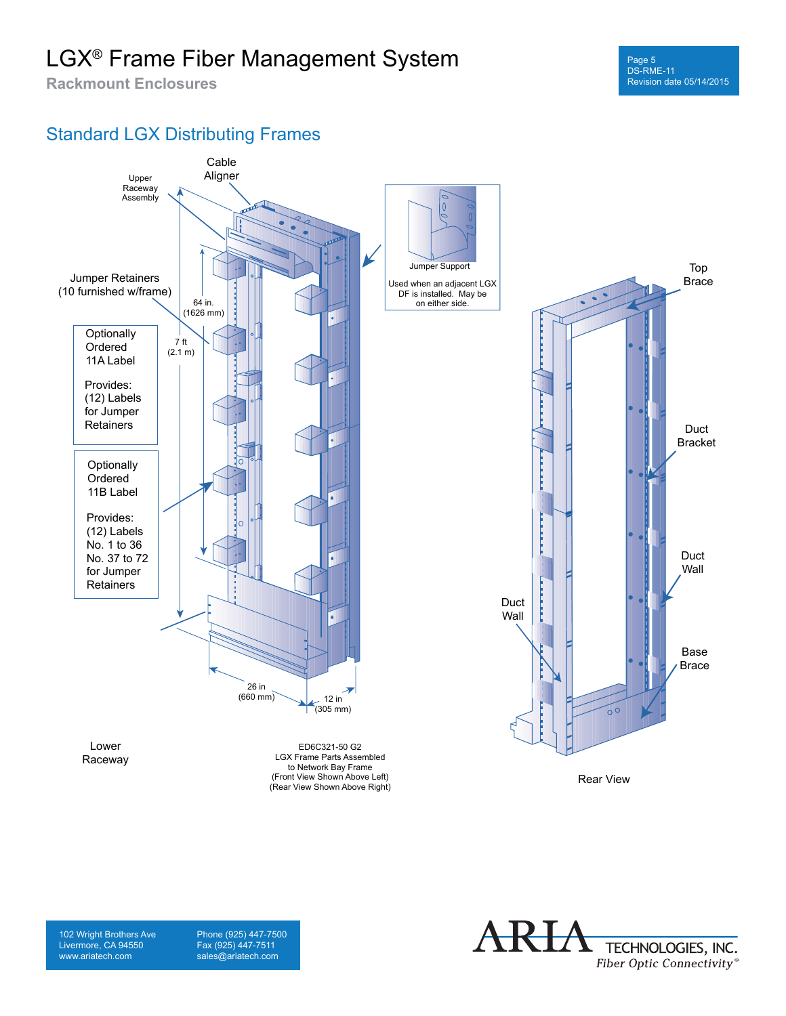**Rackmount Enclosures**

### Standard LGX Distributing Frames



102 Wright Brothers Ave Livermore, CA 94550 www.ariatech.com

Phone (925) 447-7500 Fax (925) 447-7511 sales@ariatech.com

K TECHNOLOGIES, INC. Fiber Optic Connectivity®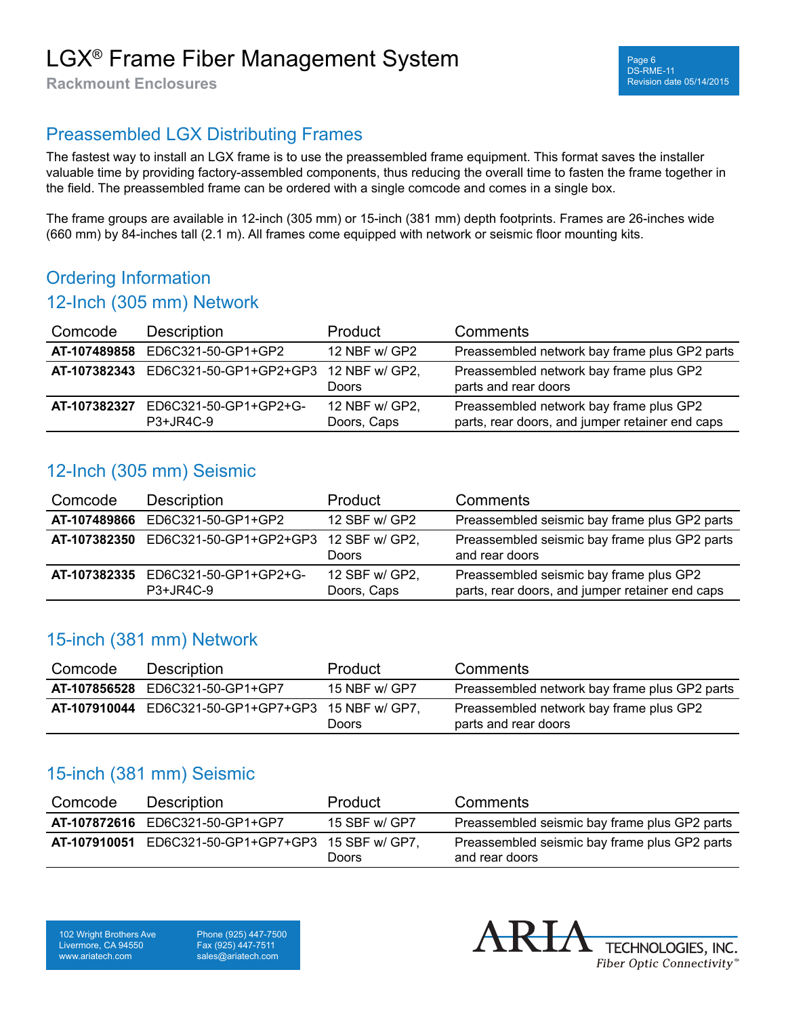**Rackmount Enclosures**

#### Preassembled LGX Distributing Frames

The fastest way to install an LGX frame is to use the preassembled frame equipment. This format saves the installer valuable time by providing factory-assembled components, thus reducing the overall time to fasten the frame together in the field. The preassembled frame can be ordered with a single comcode and comes in a single box.

The frame groups are available in 12-inch (305 mm) or 15-inch (381 mm) depth footprints. Frames are 26-inches wide (660 mm) by 84-inches tall (2.1 m). All frames come equipped with network or seismic floor mounting kits.

### Ordering Information

#### 12-Inch (305 mm) Network

| Comcode      | Description                                        | Product                       | Comments                                                                                   |
|--------------|----------------------------------------------------|-------------------------------|--------------------------------------------------------------------------------------------|
| AT-107489858 | ED6C321-50-GP1+GP2                                 | 12 NBF w/ GP2                 | Preassembled network bay frame plus GP2 parts                                              |
|              | AT-107382343 ED6C321-50-GP1+GP2+GP3 12 NBF w/ GP2. | Doors                         | Preassembled network bay frame plus GP2<br>parts and rear doors                            |
| AT-107382327 | ED6C321-50-GP1+GP2+G-<br>P3+JR4C-9                 | 12 NBF w/ GP2,<br>Doors, Caps | Preassembled network bay frame plus GP2<br>parts, rear doors, and jumper retainer end caps |

#### 12-Inch (305 mm) Seismic

| Comcode      | Description                           | <b>Product</b>                | Comments                                                                                   |
|--------------|---------------------------------------|-------------------------------|--------------------------------------------------------------------------------------------|
| AT-107489866 | ED6C321-50-GP1+GP2                    | 12 SBF w/ GP2                 | Preassembled seismic bay frame plus GP2 parts                                              |
| AT-107382350 | ED6C321-50-GP1+GP2+GP3 12 SBF w/ GP2. | Doors                         | Preassembled seismic bay frame plus GP2 parts<br>and rear doors                            |
| AT-107382335 | ED6C321-50-GP1+GP2+G-<br>P3+JR4C-9    | 12 SBF w/ GP2,<br>Doors, Caps | Preassembled seismic bay frame plus GP2<br>parts, rear doors, and jumper retainer end caps |

#### 15-inch (381 mm) Network

| Comcode      | Description                           | <b>Product</b> | <b>Comments</b>                                                 |
|--------------|---------------------------------------|----------------|-----------------------------------------------------------------|
| AT-107856528 | ED6C321-50-GP1+GP7                    | 15 NBF w/ GP7  | Preassembled network bay frame plus GP2 parts                   |
| AT-107910044 | ED6C321-50-GP1+GP7+GP3 15 NBF w/ GP7, | Doors          | Preassembled network bay frame plus GP2<br>parts and rear doors |

#### 15-inch (381 mm) Seismic

| Comcode      | Description                           | <b>Product</b> | <b>Comments</b>                                                 |
|--------------|---------------------------------------|----------------|-----------------------------------------------------------------|
|              | AT-107872616 ED6C321-50-GP1+GP7       | 15 SBF w/ GP7  | Preassembled seismic bay frame plus GP2 parts                   |
| AT-107910051 | ED6C321-50-GP1+GP7+GP3 15 SBF w/ GP7, | Doors          | Preassembled seismic bay frame plus GP2 parts<br>and rear doors |

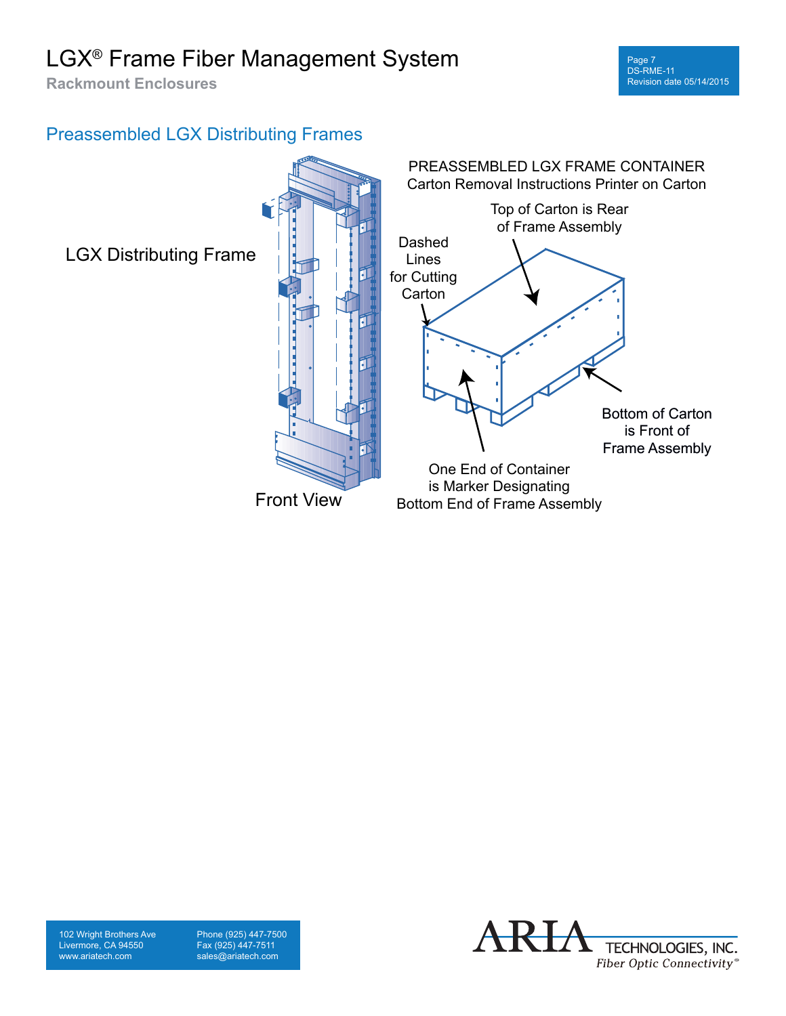**Rackmount Enclosures**

#### Preassembled LGX Distributing Frames



102 Wright Brothers Ave Livermore, CA 94550 www.ariatech.com

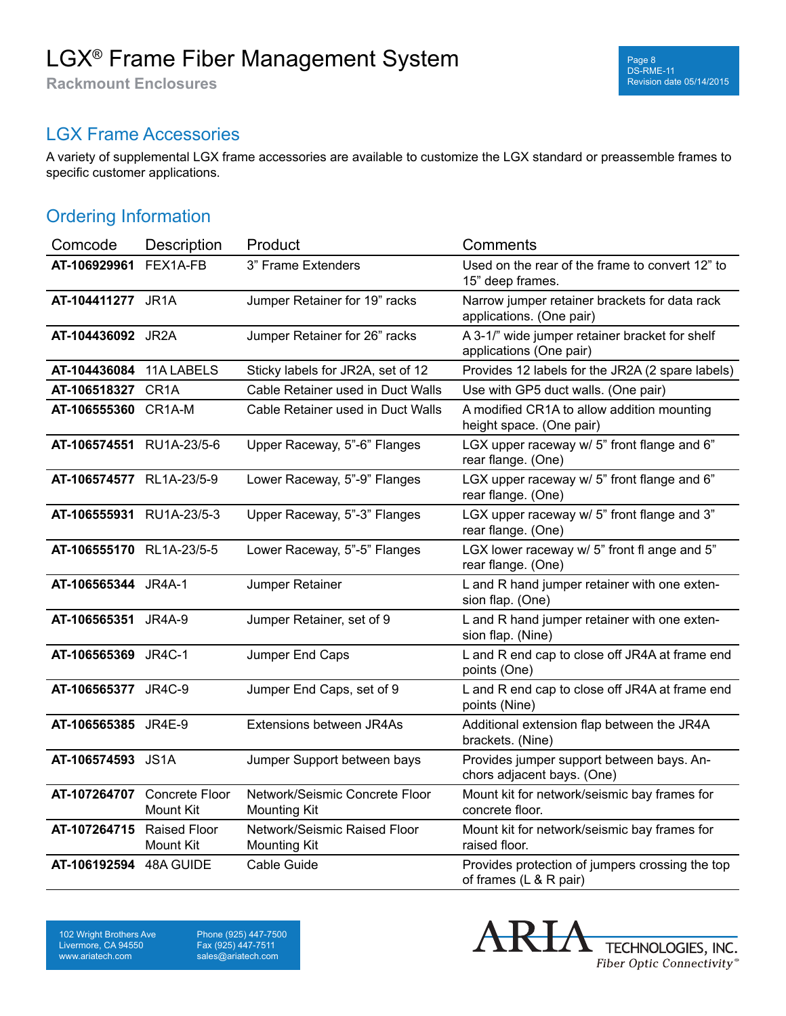**Rackmount Enclosures**

#### LGX Frame Accessories

A variety of supplemental LGX frame accessories are available to customize the LGX standard or preassemble frames to specific customer applications.

### Ordering Information

| Comcode                    | Description                             | Product                                               | Comments                                                                    |
|----------------------------|-----------------------------------------|-------------------------------------------------------|-----------------------------------------------------------------------------|
| AT-106929961               | FEX1A-FB                                | 3" Frame Extenders                                    | Used on the rear of the frame to convert 12" to<br>15" deep frames.         |
| AT-104411277 JR1A          |                                         | Jumper Retainer for 19" racks                         | Narrow jumper retainer brackets for data rack<br>applications. (One pair)   |
| AT-104436092 JR2A          |                                         | Jumper Retainer for 26" racks                         | A 3-1/" wide jumper retainer bracket for shelf<br>applications (One pair)   |
| AT-104436084 11A LABELS    |                                         | Sticky labels for JR2A, set of 12                     | Provides 12 labels for the JR2A (2 spare labels)                            |
| AT-106518327               | CR <sub>1</sub> A                       | Cable Retainer used in Duct Walls                     | Use with GP5 duct walls. (One pair)                                         |
| AT-106555360 CR1A-M        |                                         | Cable Retainer used in Duct Walls                     | A modified CR1A to allow addition mounting<br>height space. (One pair)      |
| AT-106574551 RU1A-23/5-6   |                                         | Upper Raceway, 5"-6" Flanges                          | LGX upper raceway w/ 5" front flange and 6"<br>rear flange. (One)           |
| AT-106574577 RL1A-23/5-9   |                                         | Lower Raceway, 5"-9" Flanges                          | LGX upper raceway w/ 5" front flange and 6"<br>rear flange. (One)           |
| AT-106555931 RU1A-23/5-3   |                                         | Upper Raceway, 5"-3" Flanges                          | LGX upper raceway w/ 5" front flange and 3"<br>rear flange. (One)           |
| AT-106555170 RL1A-23/5-5   |                                         | Lower Raceway, 5"-5" Flanges                          | LGX lower raceway w/ 5" front fl ange and 5"<br>rear flange. (One)          |
| <b>AT-106565344</b> JR4A-1 |                                         | Jumper Retainer                                       | L and R hand jumper retainer with one exten-<br>sion flap. (One)            |
| AT-106565351 JR4A-9        |                                         | Jumper Retainer, set of 9                             | L and R hand jumper retainer with one exten-<br>sion flap. (Nine)           |
| AT-106565369 JR4C-1        |                                         | Jumper End Caps                                       | L and R end cap to close off JR4A at frame end<br>points (One)              |
| AT-106565377 JR4C-9        |                                         | Jumper End Caps, set of 9                             | L and R end cap to close off JR4A at frame end<br>points (Nine)             |
| AT-106565385 JR4E-9        |                                         | Extensions between JR4As                              | Additional extension flap between the JR4A<br>brackets. (Nine)              |
| AT-106574593 JS1A          |                                         | Jumper Support between bays                           | Provides jumper support between bays. An-<br>chors adjacent bays. (One)     |
| AT-107264707               | Concrete Floor<br><b>Mount Kit</b>      | Network/Seismic Concrete Floor<br><b>Mounting Kit</b> | Mount kit for network/seismic bay frames for<br>concrete floor.             |
| AT-107264715               | <b>Raised Floor</b><br><b>Mount Kit</b> | Network/Seismic Raised Floor<br><b>Mounting Kit</b>   | Mount kit for network/seismic bay frames for<br>raised floor.               |
| AT-106192594               | 48A GUIDE                               | Cable Guide                                           | Provides protection of jumpers crossing the top<br>of frames $(L & R$ pair) |

102 Wright Brothers Ave Livermore, CA 94550 www.ariatech.com

Phone (925) 447-7500 Fax (925) 447-7511 sales@ariatech.com

 $\rm{RIA}_{\rm{TECHNOLOGIES, \,INC.}}$ Fiber Optic Connectivity®